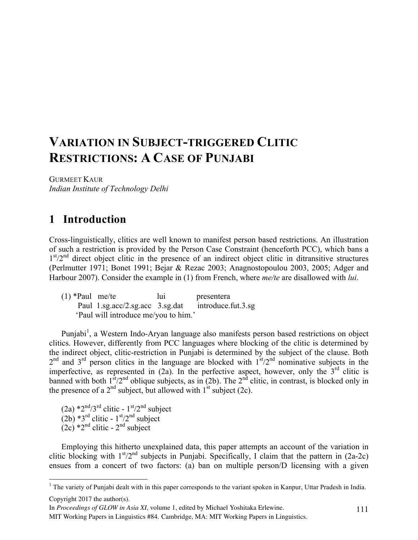# **VARIATION IN SUBJECT-TRIGGERED CLITIC RESTRICTIONS: A CASE OF PUNJABI**

GURMEET KAUR *Indian Institute of Technology Delhi*

## **1** Introduction

Cross-linguistically, clitics are well known to manifest person based restrictions. An illustration of such a restriction is provided by the Person Case Constraint (henceforth PCC), which bans a  $1<sup>st</sup>/2<sup>nd</sup>$  direct object clitic in the presence of an indirect object clitic in ditransitive structures (Perlmutter 1971; Bonet 1991; Bejar & Rezac 2003; Anagnostopoulou 2003, 2005; Adger and Harbour 2007). Consider the example in (1) from French, where *me/te* are disallowed with *lui*.

(1) \*Paul me/te lui presentera Paul 1.sg.acc/2.sg.acc 3.sg.dat introduce.fut.3.sg 'Paul will introduce me/you to him.'

Punjabi<sup>1</sup>, a Western Indo-Aryan language also manifests person based restrictions on object clitics. However, differently from PCC languages where blocking of the clitic is determined by the indirect object, clitic-restriction in Punjabi is determined by the subject of the clause. Both  $2<sup>nd</sup>$  and  $3<sup>rd</sup>$  person clitics in the language are blocked with  $1<sup>st</sup>/2<sup>nd</sup>$  nominative subjects in the imperfective, as represented in  $(2a)$ . In the perfective aspect, however, only the  $3<sup>rd</sup>$  clitic is banned with both  $1^{st}/2^{nd}$  oblique subjects, as in (2b). The  $2^{nd}$  clitic, in contrast, is blocked only in the presence of a  $2<sup>nd</sup>$  subject, but allowed with  $1<sup>st</sup>$  subject (2c).

- (2a)  $*2^{\text{nd}}/3^{\text{rd}}$  clitic  $1^{\text{st}}/2^{\text{nd}}$  subject
- $(2b)$  \*3<sup>rd</sup> clitic 1<sup>st</sup>/2<sup>nd</sup> subject
- $(2c)$  \*2<sup>nd</sup> clitic 2<sup>nd</sup> subject

Employing this hitherto unexplained data, this paper attempts an account of the variation in clitic blocking with  $1<sup>st</sup>/2<sup>nd</sup>$  subjects in Punjabi. Specifically, I claim that the pattern in (2a-2c) ensues from a concert of two factors: (a) ban on multiple person/D licensing with a given

In *Proceedings of GLOW in Asia XI*, volume 1, edited by Michael Yoshitaka Erlewine.

MIT Working Papers in Linguistics #84. Cambridge, MA: MIT Working Papers in Linguistics.

 $1$  The variety of Punjabi dealt with in this paper corresponds to the variant spoken in Kanpur, Uttar Pradesh in India. Copyright 2017 the author(s).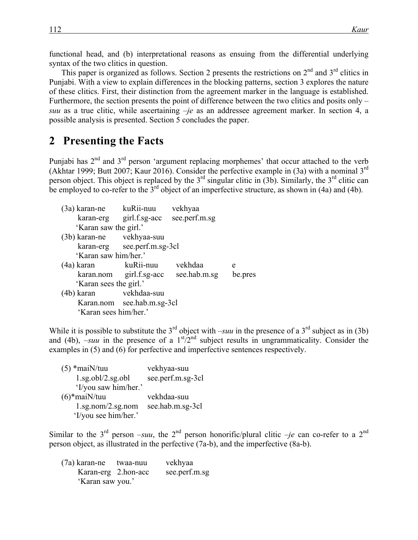functional head, and (b) interpretational reasons as ensuing from the differential underlying syntax of the two clitics in question.

This paper is organized as follows. Section 2 presents the restrictions on  $2<sup>nd</sup>$  and  $3<sup>rd</sup>$  clitics in Punjabi. With a view to explain differences in the blocking patterns, section 3 explores the nature of these clitics. First, their distinction from the agreement marker in the language is established. Furthermore, the section presents the point of difference between the two clitics and posits only *– suu* as a true clitic, while ascertaining *–je* as an addressee agreement marker. In section 4, a possible analysis is presented. Section 5 concludes the paper.

### **2** Presenting the Facts

Punjabi has  $2<sup>nd</sup>$  and  $3<sup>rd</sup>$  person 'argument replacing morphemes' that occur attached to the verb (Akhtar 1999; Butt 2007; Kaur 2016). Consider the perfective example in (3a) with a nominal 3rd person object. This object is replaced by the  $3<sup>rd</sup>$  singular clitic in (3b). Similarly, the  $3<sup>rd</sup>$  clitic can be employed to co-refer to the  $3<sup>rd</sup>$  object of an imperfective structure, as shown in (4a) and (4b).

| (3a) karan-ne kuRii-nuu   |                             | vekhyaa                              |         |
|---------------------------|-----------------------------|--------------------------------------|---------|
|                           | karan-erg girl.f.sg-acc     | see.perf.m.sg                        |         |
| 'Karan saw the girl.'     |                             |                                      |         |
| (3b) karan-ne vekhyaa-suu |                             |                                      |         |
|                           | karan-erg see.perf.m.sg-3cl |                                      |         |
| 'Karan saw him/her.'      |                             |                                      |         |
| (4a) karan                | kuRii-nuu                   | vekhdaa                              | e       |
|                           |                             | karan.nom girl.f.sg-acc see.hab.m.sg | be.pres |
| 'Karan sees the girl.'    |                             |                                      |         |
| (4b) karan                | vekhdaa-suu                 |                                      |         |
|                           | Karan.nom see.hab.m.sg-3cl  |                                      |         |
| 'Karan sees him/her.'     |                             |                                      |         |

While it is possible to substitute the 3<sup>rd</sup> object with *–suu* in the presence of a 3<sup>rd</sup> subject as in (3b) and (4b),  $\frac{1}{2}$ suu in the presence of a  $1<sup>st</sup>/2<sup>nd</sup>$  subject results in ungrammaticality. Consider the examples in (5) and (6) for perfective and imperfective sentences respectively.

| $(5)$ *maiN/tuu                   | vekhyaa-suu       |
|-----------------------------------|-------------------|
| $1.\text{sg.obl}/2.\text{sg.obl}$ | see.perf.m.sg-3cl |
| 'I/you saw him/her.'              |                   |
| $(6)$ *mai $N/t$ uu               | vekhdaa-suu       |
| $1.\text{sg.nom}/2.\text{sg.nom}$ | see.hab.m.sg-3cl  |
| 'I/you see him/her.'              |                   |

Similar to the  $3<sup>rd</sup>$  person *–suu*, the  $2<sup>nd</sup>$  person honorific/plural clitic *–je* can co-refer to a  $2<sup>nd</sup>$ person object, as illustrated in the perfective (7a-b), and the imperfective (8a-b).

| (7a) karan-ne       | twaa-nuu | vekhyaa       |
|---------------------|----------|---------------|
| Karan-erg 2.hon-acc |          | see.perf.m.sg |
| 'Karan saw you.'    |          |               |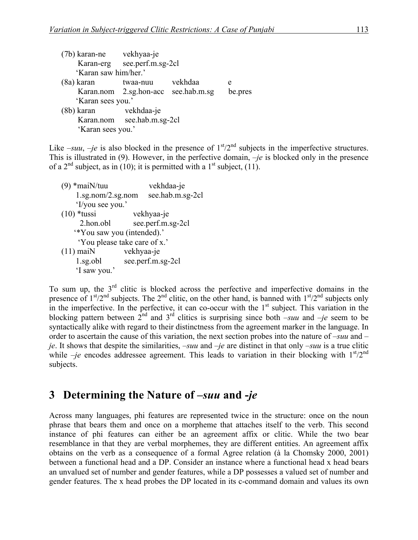| (7b) karan-ne vekhyaa-je |                                     |         |         |
|--------------------------|-------------------------------------|---------|---------|
|                          | Karan-erg see.perf.m.sg-2cl         |         |         |
| 'Karan saw him/her.'     |                                     |         |         |
| (8a) karan               | twaa-nuu                            | vekhdaa | e       |
|                          | Karan.nom 2.sg.hon-acc see.hab.m.sg |         | be.pres |
| 'Karan sees you.'        |                                     |         |         |
| (8b) karan               | vekhdaa-je                          |         |         |
|                          | Karan.nom see.hab.m.sg-2cl          |         |         |
| 'Karan sees you.'        |                                     |         |         |

Like  $-suu$ ,  $-je$  is also blocked in the presence of  $1<sup>st</sup>/2<sup>nd</sup>$  subjects in the imperfective structures. This is illustrated in (9). However, in the perfective domain, *–je* is blocked only in the presence of a  $2<sup>nd</sup>$  subject, as in (10); it is permitted with a 1<sup>st</sup> subject, (11).

(9) \*maiN/tuu vekhdaa-je 1.sg.nom/2.sg.nom see.hab.m.sg-2cl 'I/you see you.' (10) \*tussi vekhyaa-je 2.hon.obl see.perf.m.sg-2cl '\*You saw you (intended).' 'You please take care of x.' (11) maiN vekhyaa-je 1.sg.obl see.perf.m.sg-2cl 'I saw you.'

To sum up, the  $3<sup>rd</sup>$  clitic is blocked across the perfective and imperfective domains in the presence of  $1<sup>st</sup>/2<sup>nd</sup>$  subjects. The  $2<sup>nd</sup>$  clitic, on the other hand, is banned with  $1<sup>st</sup>/2<sup>nd</sup>$  subjects only in the imperfective. In the perfective, it can co-occur with the 1<sup>st</sup> subject. This variation in the blocking pattern between  $2^{nd}$  and  $3^{rd}$  clitics is surprising since both  $\frac{1}{2}$  and  $\frac{1}{2}e$  seem to be syntactically alike with regard to their distinctness from the agreement marker in the language. In order to ascertain the cause of this variation, the next section probes into the nature of *–suu* and *– je*. It shows that despite the similarities, *–suu* and *–je* are distinct in that only *–suu* is a true clitic while  $-je$  encodes addressee agreement. This leads to variation in their blocking with  $1<sup>st</sup>/2<sup>nd</sup>$ subjects.

## **3**xx**Determining the Nature of** *–suu* **and -***je*

Across many languages, phi features are represented twice in the structure: once on the noun phrase that bears them and once on a morpheme that attaches itself to the verb. This second instance of phi features can either be an agreement affix or clitic. While the two bear resemblance in that they are verbal morphemes, they are different entities. An agreement affix obtains on the verb as a consequence of a formal Agree relation (à la Chomsky 2000, 2001) between a functional head and a DP. Consider an instance where a functional head x head bears an unvalued set of number and gender features, while a DP possesses a valued set of number and gender features. The x head probes the DP located in its c-command domain and values its own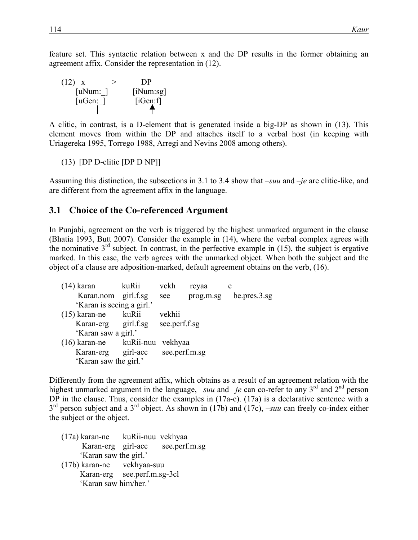feature set. This syntactic relation between x and the DP results in the former obtaining an agreement affix. Consider the representation in (12).



A clitic, in contrast, is a D-element that is generated inside a big-DP as shown in (13). This element moves from within the DP and attaches itself to a verbal host (in keeping with Uriagereka 1995, Torrego 1988, Arregi and Nevins 2008 among others).

(13) [DP D-clitic [DP D NP]]

Assuming this distinction, the subsections in 3.1 to 3.4 show that *–suu* and *–je* are clitic-like, and are different from the agreement affix in the language.

#### **3.1 Choice of the Co-referenced Argument**

In Punjabi, agreement on the verb is triggered by the highest unmarked argument in the clause (Bhatia 1993, Butt 2007). Consider the example in (14), where the verbal complex agrees with the nominative  $3<sup>rd</sup>$  subject. In contrast, in the perfective example in (15), the subject is ergative marked. In this case, the verb agrees with the unmarked object. When both the subject and the object of a clause are adposition-marked, default agreement obtains on the verb, (16).

| $(14)$ karan                      | kuRii     | vekh          | reyaa     | e            |
|-----------------------------------|-----------|---------------|-----------|--------------|
| Karan.nom girl.f.sg               |           | see           | prog.m.sg | be.pres.3.sg |
| 'Karan is seeing a girl.'         |           |               |           |              |
| $(15)$ karan-ne                   | kuRii     | vekhii        |           |              |
| Karan-erg girl.f.sg see.perf.f.sg |           |               |           |              |
| 'Karan saw a girl.'               |           |               |           |              |
| $(16)$ karan-ne                   | kuRii-nuu | vekhyaa       |           |              |
| Karan-erg girl-acc                |           | see.perf.m.sg |           |              |
| 'Karan saw the girl.'             |           |               |           |              |
|                                   |           |               |           |              |

Differently from the agreement affix, which obtains as a result of an agreement relation with the highest unmarked argument in the language,  $-suu$  and  $-je$  can co-refer to any 3<sup>rd</sup> and 2<sup>nd</sup> person DP in the clause. Thus, consider the examples in  $(17a-c)$ .  $(17a)$  is a declarative sentence with a 3<sup>rd</sup> person subject and a 3<sup>rd</sup> object. As shown in (17b) and (17c), *–suu* can freely co-index either the subject or the object.

- (17a) karan-ne kuRii-nuu vekhyaa Karan-erg girl-acc see.perf.m.sg 'Karan saw the girl.'
- (17b) karan-ne vekhyaa-suu Karan-erg see.perf.m.sg-3cl 'Karan saw him/her.'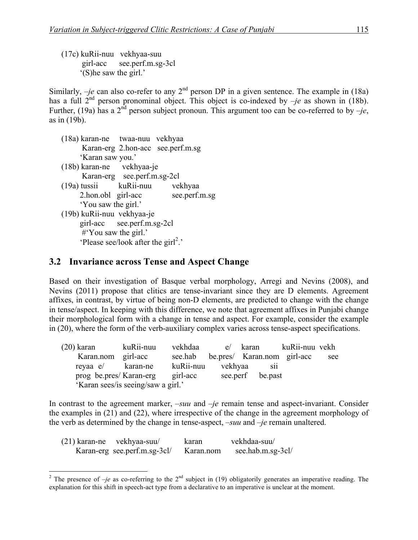(17c) kuRii-nuu vekhyaa-suu girl-acc see.perf.m.sg-3cl '(S)he saw the girl.'

Similarly,  $-je$  can also co-refer to any  $2<sup>nd</sup>$  person DP in a given sentence. The example in (18a) has a full  $2^{nd}$  person pronominal object. This object is co-indexed by  $-je$  as shown in (18b). Further, (19a) has a 2<sup>nd</sup> person subject pronoun. This argument too can be co-referred to by  $-je$ , as in (19b).

- (18a) karan-ne twaa-nuu vekhyaa Karan-erg 2.hon-acc see.perf.m.sg 'Karan saw you.'
- (18b) karan-ne vekhyaa-je Karan-erg see.perf.m.sg-2cl
- (19a) tussii kuRii-nuu vekhyaa 2.hon.obl girl-acc see.perf.m.sg 'You saw the girl.'
- (19b) kuRii-nuu vekhyaa-je girl-acc see.perf.m.sg-2cl #'You saw the girl.' 'Please see/look after the  $\text{girl}^2$ .'

#### **3.2 Invariance across Tense and Aspect Change**

Based on their investigation of Basque verbal morphology, Arregi and Nevins (2008), and Nevins (2011) propose that clitics are tense-invariant since they are D elements. Agreement affixes, in contrast, by virtue of being non-D elements, are predicted to change with the change in tense/aspect. In keeping with this difference, we note that agreement affixes in Punjabi change their morphological form with a change in tense and aspect. For example, consider the example in (20), where the form of the verb-auxiliary complex varies across tense-aspect specifications.

| $(20)$ karan            | kuRii-nuu                          | vekhdaa           | e/ karan                    | kuRii-nuu vekh |     |
|-------------------------|------------------------------------|-------------------|-----------------------------|----------------|-----|
| Karan.nom girl-acc      |                                    | see.hab           | be.pres/ Karan.nom girl-acc |                | see |
| reyaa e/ karan-ne       |                                    | kuRii-nuu vekhyaa | <b>S11</b>                  |                |     |
| prog be.pres/ Karan-erg |                                    | girl-acc          | see.perf be.past            |                |     |
|                         | 'Karan sees/is seeing/saw a girl.' |                   |                             |                |     |

In contrast to the agreement marker, *–suu* and *–je* remain tense and aspect-invariant. Consider the examples in (21) and (22), where irrespective of the change in the agreement morphology of the verb as determined by the change in tense-aspect, *–suu* and *–je* remain unaltered.

| $(21)$ karan-ne vekhyaa-suu/ | karan     | vekhdaa-suu/      |
|------------------------------|-----------|-------------------|
| Karan-erg see.perf.m.sg-3cl/ | Karan.nom | see.hab.m.sg-3cl/ |

<sup>&</sup>lt;sup>2</sup> The presence of  $-je$  as co-referring to the  $2<sup>nd</sup>$  subject in (19) obligatorily generates an imperative reading. The explanation for this shift in speech-act type from a declarative to an imperative is unclear at the moment.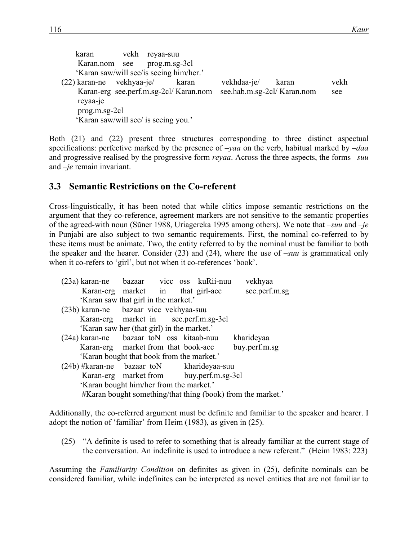| karan                                             | vekh | reyaa-suu     |       |             |                            |      |
|---------------------------------------------------|------|---------------|-------|-------------|----------------------------|------|
| Karan.nom see                                     |      | prog.m.sg-3cl |       |             |                            |      |
| 'Karan saw/will see/is seeing him/her.'           |      |               |       |             |                            |      |
| $(22)$ karan-ne vekhyaa-je/                       |      |               | karan | vekhdaa-je/ | karan                      | vekh |
| Karan-erg see.perf.m.sg-2cl/Karan.nom<br>reyaa-je |      |               |       |             | see.hab.m.sg-2cl/Karan.nom | see  |
| $prog.m.sg-2cl$                                   |      |               |       |             |                            |      |
| 'Karan saw/will see/ is seeing you.'              |      |               |       |             |                            |      |

Both (21) and (22) present three structures corresponding to three distinct aspectual specifications: perfective marked by the presence of –*yaa* on the verb, habitual marked by *–daa* and progressive realised by the progressive form *reyaa*. Across the three aspects, the forms *–suu*  and *–je* remain invariant.

### **3.3**xx**Semantic Restrictions on the Co-referent**

Cross-linguistically, it has been noted that while clitics impose semantic restrictions on the argument that they co-reference, agreement markers are not sensitive to the semantic properties of the agreed-with noun (Sũner 1988, Uriagereka 1995 among others). We note that *–suu* and *–je*  in Punjabi are also subject to two semantic requirements. First, the nominal co-referred to by these items must be animate. Two, the entity referred to by the nominal must be familiar to both the speaker and the hearer. Consider (23) and (24), where the use of –*suu* is grammatical only when it co-refers to 'girl', but not when it co-references 'book'.

| (23a) karan-ne bazaar vice oss kuRii-nuu                    |                                            |  |  |  | vekhyaa       |
|-------------------------------------------------------------|--------------------------------------------|--|--|--|---------------|
|                                                             | Karan-erg market in that girl-acc          |  |  |  | see.perf.m.sg |
|                                                             | 'Karan saw that girl in the market.'       |  |  |  |               |
| (23b) karan-ne bazaar vicc vekhyaa-suu                      |                                            |  |  |  |               |
|                                                             | Karan-erg market in see.perf.m.sg-3cl      |  |  |  |               |
|                                                             | 'Karan saw her (that girl) in the market.' |  |  |  |               |
| (24a) karan-ne bazaar toN oss kitaab-nuu                    |                                            |  |  |  | kharideyaa    |
|                                                             | Karan-erg market from that book-acc        |  |  |  | buy.perf.m.sg |
|                                                             | 'Karan bought that book from the market.'  |  |  |  |               |
| $(24b)$ #karan-ne bazaar toN kharideyaa-suu                 |                                            |  |  |  |               |
|                                                             | Karan-erg market from buy.perf.m.sg-3cl    |  |  |  |               |
| 'Karan bought him/her from the market.'                     |                                            |  |  |  |               |
| #Karan bought something/that thing (book) from the market.' |                                            |  |  |  |               |

Additionally, the co-referred argument must be definite and familiar to the speaker and hearer. I adopt the notion of 'familiar' from Heim (1983), as given in (25).

(25) "A definite is used to refer to something that is already familiar at the current stage of the conversation. An indefinite is used to introduce a new referent." (Heim 1983: 223)

Assuming the *Familiarity Condition* on definites as given in (25), definite nominals can be considered familiar, while indefinites can be interpreted as novel entities that are not familiar to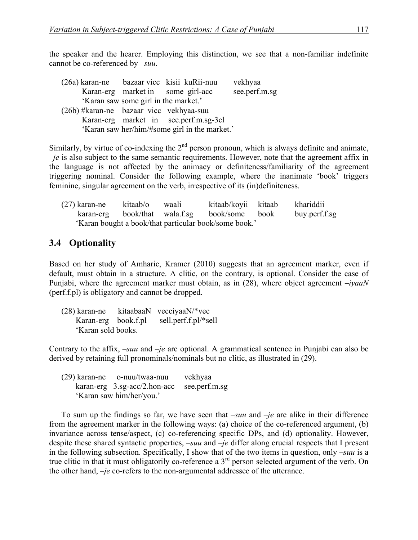the speaker and the hearer. Employing this distinction, we see that a non-familiar indefinite cannot be co-referenced by *–suu*.

| (26a) karan-ne bazaar vice kisii kuRii-nuu |                                      |                                               | vekhyaa       |
|--------------------------------------------|--------------------------------------|-----------------------------------------------|---------------|
|                                            |                                      | Karan-erg market in some girl-acc             | see.perf.m.sg |
|                                            | 'Karan saw some girl in the market.' |                                               |               |
| (26b) #karan-ne bazaar vicc vekhyaa-suu    |                                      |                                               |               |
|                                            |                                      | Karan-erg market in see.perf.m.sg-3cl         |               |
|                                            |                                      | 'Karan saw her/him/#some girl in the market.' |               |
|                                            |                                      |                                               |               |

Similarly, by virtue of co-indexing the  $2<sup>nd</sup>$  person pronoun, which is always definite and animate, *–je* is also subject to the same semantic requirements. However, note that the agreement affix in the language is not affected by the animacy or definiteness/familiarity of the agreement triggering nominal. Consider the following example, where the inanimate 'book' triggers feminine, singular agreement on the verb, irrespective of its (in)definiteness.

| $(27)$ karan-ne | kitaab/o | waali | kitaab/koyii kitaab                                   | khariddii     |
|-----------------|----------|-------|-------------------------------------------------------|---------------|
|                 |          |       | karan-erg book/that wala.f.sg book/some book          | buy.perf.f.sg |
|                 |          |       | 'Karan bought a book/that particular book/some book.' |               |

### **3.4** Optionality

Based on her study of Amharic, Kramer (2010) suggests that an agreement marker, even if default, must obtain in a structure. A clitic, on the contrary, is optional. Consider the case of Punjabi, where the agreement marker must obtain, as in (28), where object agreement *–iyaaN* (perf.f.pl) is obligatory and cannot be dropped.

| $(28)$ karan-ne     |  | kitaabaaN vecciyaaN/*vec |
|---------------------|--|--------------------------|
| Karan-erg book.f.pl |  | sell.perf.f.pl/*sell     |
| 'Karan sold books.  |  |                          |

Contrary to the affix, *–suu* and *–je* are optional. A grammatical sentence in Punjabi can also be derived by retaining full pronominals/nominals but no clitic, as illustrated in (29).

|                          | $(29)$ karan-ne o-nuu/twaa-nuu       | vekhyaa       |
|--------------------------|--------------------------------------|---------------|
|                          | $\kappa$ aran-erg 3.sg-acc/2.hon-acc | see.perf.m.sg |
| 'Karan saw him/her/you.' |                                      |               |

To sum up the findings so far, we have seen that *–suu* and *–je* are alike in their difference from the agreement marker in the following ways: (a) choice of the co-referenced argument, (b) invariance across tense/aspect, (c) co-referencing specific DPs, and (d) optionality. However, despite these shared syntactic properties, *–suu* and *–je* differ along crucial respects that I present in the following subsection. Specifically, I show that of the two items in question, only *–suu* is a true clitic in that it must obligatorily co-reference a 3<sup>rd</sup> person selected argument of the verb. On the other hand, *–je* co-refers to the non-argumental addressee of the utterance.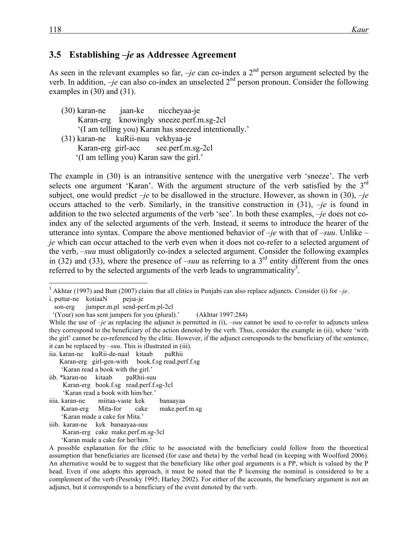#### **3.5**xx**Establishing** *–je* **as Addressee Agreement**

As seen in the relevant examples so far,  $-je$  can co-index a  $2<sup>nd</sup>$  person argument selected by the verb. In addition,  $-je$  can also co-index an unselected  $2<sup>nd</sup>$  person pronoun. Consider the following examples in (30) and (31).

(30) karan-ne jaan-ke niccheyaa-je Karan-erg knowingly sneeze.perf.m.sg-2cl '(I am telling you) Karan has sneezed intentionally.' (31) karan-ne kuRii-nuu vekhyaa-je Karan-erg girl-acc see.perf.m.sg-2cl '(I am telling you) Karan saw the girl.'

The example in (30) is an intransitive sentence with the unergative verb 'sneeze'. The verb selects one argument 'Karan'. With the argument structure of the verb satisfied by the  $3^{rd}$ subject, one would predict *–je* to be disallowed in the structure. However, as shown in (30), *–je* occurs attached to the verb. Similarly, in the transitive construction in (31), *–je* is found in addition to the two selected arguments of the verb 'see'. In both these examples, *–je* does not coindex any of the selected arguments of the verb. Instead, it seems to introduce the hearer of the utterance into syntax. Compare the above mentioned behavior of *–je* with that of *–suu*. Unlike *– je* which can occur attached to the verb even when it does not co-refer to a selected argument of the verb, *–suu* must obligatorily co-index a selected argument. Consider the following examples in (32) and (33), where the presence of  $-suu$  as referring to a 3<sup>rd</sup> entity different from the ones referred to by the selected arguments of the verb leads to ungrammaticality<sup>3</sup>.

i. puttar-ne kotiaaN pejıa-je

iia. karan-ne kuRii-de-naal kitaab paRhii

- Karan-erg girl-gen-with book.f.sg read.perf.f.sg
- 'Karan read a book with the girl.'
- iib. \*karan-ne kitaab paRhii-suu Karan-erg book.f.sg read.perf.f.sg-3cl 'Karan read a book with him/her.'
- iiia. karan-ne miitaa-vaste kek banaayaa Karan-erg Mita-for cake make.perf.m.sg 'Karan made a cake for Mita.'
- iiib. karan-ne kek banaayaa-suu
- Karan-erg cake make.perf.m.sg-3cl 'Karan made a cake for her/him.'

 $3$  Akhtar (1997) and Butt (2007) claim that all clitics in Punjabi can also replace adjuncts. Consider (i) for  $-je$ .

son-erg jumper.m.pl send-perf.m.pl-2cl

 <sup>&#</sup>x27;(Your) son has sent jumpers for you (plural).' (Akhtar 1997:284)

While the use of *-je* as replacing the adjunct is permitted in (i), *-suu* cannot be used to co-refer to adjuncts unless they correspond to the beneficiary of the action denoted by the verb. Thus, consider the example in (ii), where 'with the girl' cannot be co-referenced by the clitic. However, if the adjunct corresponds to the beneficiary of the sentence, it can be replaced by *–suu*. This is illustrated in (iii).

A possible explanation for the clitic to be associated with the beneficiary could follow from the theoretical assumption that beneficiaries are licensed (for case and theta) by the verbal head (in keeping with Woolford 2006). An alternative would be to suggest that the beneficiary like other goal arguments is a PP, which is valued by the P head. Even if one adopts this approach, it must be noted that the P licensing the nominal is considered to be a complement of the verb (Pesetsky 1995; Harley 2002). For either of the accounts, the beneficiary argument is not an adjunct, but it corresponds to a beneficiary of the event denoted by the verb.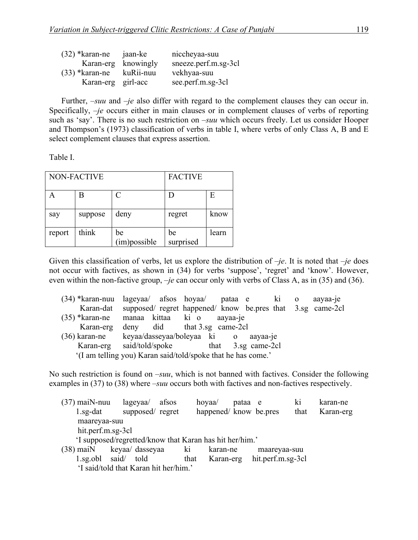| $(32)$ *karan-ne   | jaan-ke             | niccheyaa-suu        |
|--------------------|---------------------|----------------------|
|                    | Karan-erg knowingly | sneeze.perf.m.sg-3cl |
| $(33)$ *karan-ne   | kuRii-nuu           | vekhyaa-suu          |
| Karan-erg girl-acc |                     | see.perf.m.sg-3cl    |

Further, *–suu* and *–je* also differ with regard to the complement clauses they can occur in. Specifically, *–je* occurs either in main clauses or in complement clauses of verbs of reporting such as 'say'. There is no such restriction on *–suu* which occurs freely. Let us consider Hooper and Thompson's (1973) classification of verbs in table I, where verbs of only Class A, B and E select complement clauses that express assertion.

Table I.

| NON-FACTIVE |         |                    | <b>FACTIVE</b>  |       |  |
|-------------|---------|--------------------|-----------------|-------|--|
|             | Β       | C                  |                 | Е     |  |
| say         | suppose | deny               | regret          | know  |  |
| report      | think   | be<br>(im)possible | be<br>surprised | learn |  |

Given this classification of verbs, let us explore the distribution of *–je*. It is noted that *–je* does not occur with factives, as shown in (34) for verbs 'suppose', 'regret' and 'know'. However, even within the non-factive group, *–je* can occur only with verbs of Class A, as in (35) and (36).

|           | (34) *karan-nuu lageyaa/ afsos hoyaa/ pataa e ki o                   |          |  | aayaa-je |
|-----------|----------------------------------------------------------------------|----------|--|----------|
|           | Karan-dat supposed/ regret happened/ know be.pres that 3.sg came-2cl |          |  |          |
|           | (35) *karan-ne manaa kittaa ki o                                     | aayaa-je |  |          |
| Karan-erg | deny did that $3.\text{sg}$ came-2cl                                 |          |  |          |
|           | (36) karan-ne keyaa/dasseyaa/boleyaa ki o aayaa-je                   |          |  |          |
|           | Karan-erg said/told/spoke that 3.sg came-2cl                         |          |  |          |
|           | '(I am telling you) Karan said/told/spoke that he has come.'         |          |  |          |
|           |                                                                      |          |  |          |

No such restriction is found on *–suu*, which is not banned with factives. Consider the following examples in (37) to (38) where *–suu* occurs both with factives and non-factives respectively.

- (37) maiN-nuu lageyaa/ afsos hoyaa/ pataa e ki karan-ne 1.sg-dat supposed/ regret happened/ know be.pres that Karan-erg maareyaa-suu hit.perf.m.sg-3cl 'I supposed/regretted/know that Karan has hit her/him.' (38) maiN keyaa/ dasseyaa ki karan-ne maareyaa-suu
- 1.sg.obl said/ told that Karan-erg hit.perf.m.sg-3cl 'I said/told that Karan hit her/him.'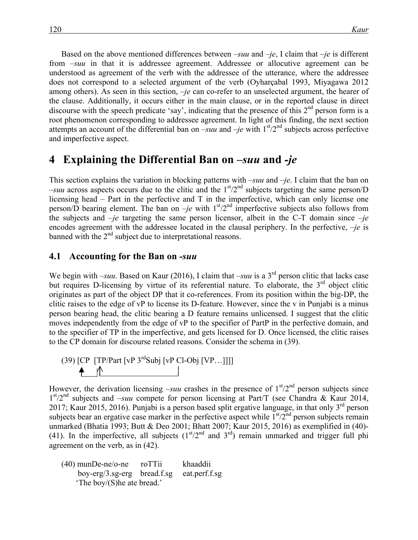Based on the above mentioned differences between *–suu* and *–je*, I claim that *–je* is different from  $-suu$  in that it is addressee agreement. Addressee or allocutive agreement can be understood as agreement of the verb with the addressee of the utterance, where the addressee does not correspond to a selected argument of the verb (Oyharçabal 1993, Miyagawa 2012 among others). As seen in this section, *–je* can co-refer to an unselected argument, the hearer of the clause. Additionally, it occurs either in the main clause, or in the reported clause in direct discourse with the speech predicate 'say', indicating that the presence of this  $2<sup>nd</sup>$  person form is a root phenomenon corresponding to addressee agreement. In light of this finding, the next section attempts an account of the differential ban on  $-suu$  and  $-je$  with  $1<sup>st</sup>/2<sup>nd</sup>$  subjects across perfective and imperfective aspect.

### **4**xx**Explaining the Differential Ban on** *–suu* **and** *-je*

This section explains the variation in blocking patterns with *–suu* and *–je*. I claim that the ban on  $-suu$  across aspects occurs due to the clitic and the  $1<sup>st</sup>/2<sup>nd</sup>$  subjects targeting the same person/D licensing head – Part in the perfective and T in the imperfective, which can only license one person/D bearing element. The ban on *-je* with  $1<sup>st</sup>/2<sup>nd</sup>$  imperfective subjects also follows from the subjects and *–je* targeting the same person licensor, albeit in the C-T domain since *–je*  encodes agreement with the addressee located in the clausal periphery. In the perfective, *–je* is banned with the  $2<sup>nd</sup>$  subject due to interpretational reasons.

#### **4.1**xx**Accounting for the Ban on** *-suu*

We begin with *–suu*. Based on Kaur (2016), I claim that *–suu* is a 3<sup>rd</sup> person clitic that lacks case but requires D-licensing by virtue of its referential nature. To elaborate, the  $3<sup>rd</sup>$  object clitic originates as part of the object DP that it co-references. From its position within the big-DP, the clitic raises to the edge of vP to license its D-feature. However, since the v in Punjabi is a minus person bearing head, the clitic bearing a D feature remains unlicensed. I suggest that the clitic moves independently from the edge of vP to the specifier of PartP in the perfective domain, and to the specifier of TP in the imperfective, and gets licensed for D. Once licensed, the clitic raises to the CP domain for discourse related reasons. Consider the schema in (39).



However, the derivation licensing  $-suu$  crashes in the presence of  $1<sup>st</sup>/2<sup>nd</sup>$  person subjects since 1<sup>st</sup>/2<sup>nd</sup> subjects and *–suu* compete for person licensing at Part/T (see Chandra & Kaur 2014, 2017; Kaur 2015, 2016). Punjabi is a person based split ergative language, in that only  $3<sup>rd</sup>$  person subjects bear an ergative case marker in the perfective aspect while  $1<sup>st</sup>/2<sup>nd</sup>$  person subjects remain unmarked (Bhatia 1993; Butt & Deo 2001; Bhatt 2007; Kaur 2015, 2016) as exemplified in (40)- (41). In the imperfective, all subjects  $(1<sup>st</sup>/2<sup>nd</sup>$  and  $3<sup>rd</sup>)$  remain unmarked and trigger full phi agreement on the verb, as in (42).

(40) munDe-ne/o-ne roTTii khaaddii boy-erg/3.sg-erg bread.f.sg eat.perf.f.sg 'The boy/(S)he ate bread.'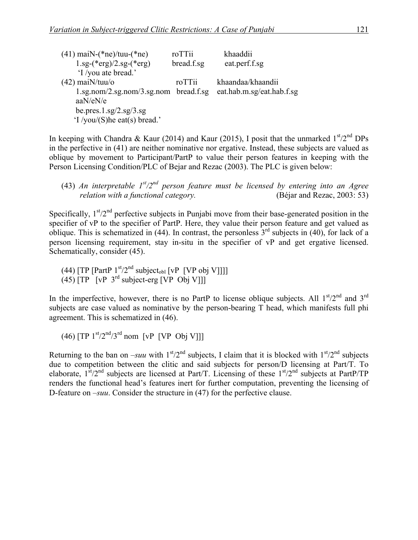| $(41)$ maiN- $(*ne)/true(*ne)$                               | roTTii     | khaaddii                  |
|--------------------------------------------------------------|------------|---------------------------|
| $1.\text{sg-(*erg)/}2.\text{sg-(*erg)}$                      | bread.f.sg | eat.perf.f.sg             |
| 'I /you ate bread.'                                          |            |                           |
| $(42)$ mai $N/tuu/o$                                         | roTTii     | khaandaa/khaandii         |
| $1.\text{sg.nom}/2.\text{sg.nom}/3.\text{sg.nom}$ bread.f.sg |            | eat.hab.m.sg/eat.hab.f.sg |
| aaN/eN/e                                                     |            |                           |
| be.pres. $1.\text{sg}/2.\text{sg}/3.\text{sg}$               |            |                           |
| $\lq$ /you/(S) he eat(s) bread.'                             |            |                           |

In keeping with Chandra & Kaur (2014) and Kaur (2015), I posit that the unmarked  $1<sup>st</sup>/2<sup>nd</sup>DPs$ in the perfective in (41) are neither nominative nor ergative. Instead, these subjects are valued as oblique by movement to Participant/PartP to value their person features in keeping with the Person Licensing Condition/PLC of Bejar and Rezac (2003). The PLC is given below:

(43) *An interpretable 1st/2nd person feature must be licensed by entering into an Agree relation with a functional category.* (Béjar and Rezac, 2003: 53)

Specifically,  $1<sup>st</sup>/2<sup>nd</sup>$  perfective subjects in Punjabi move from their base-generated position in the specifier of vP to the specifier of PartP. Here, they value their person feature and get valued as oblique. This is schematized in (44). In contrast, the personless  $3<sup>rd</sup>$  subjects in (40), for lack of a person licensing requirement, stay in-situ in the specifier of vP and get ergative licensed. Schematically, consider (45).

 $(44)$  [TP [PartP  $1<sup>st</sup>/2<sup>nd</sup>$  subject<sub>obl</sub> [vP [VP obj V]]]]  $(45)$   $[TP$   $[vP 3<sup>rd</sup>$  subject-erg  $[vP 0b]$  V]]]

In the imperfective, however, there is no PartP to license oblique subjects. All  $1<sup>st</sup>/2<sup>nd</sup>$  and  $3<sup>rd</sup>$ subjects are case valued as nominative by the person-bearing T head, which manifests full phi agreement. This is schematized in (46).

 $(46)$  [TP  $1<sup>st</sup>/2<sup>nd</sup>/3<sup>rd</sup>$  nom [vP [VP Obj V]]]

Returning to the ban on  $-suu$  with  $1<sup>st</sup>/2<sup>nd</sup>$  subjects, I claim that it is blocked with  $1<sup>st</sup>/2<sup>nd</sup>$  subjects due to competition between the clitic and said subjects for person/D licensing at Part/T. To elaborate,  $1^{st}/2^{nd}$  subjects are licensed at Part/T. Licensing of these  $1^{st}/2^{nd}$  subjects at PartP/TP renders the functional head's features inert for further computation, preventing the licensing of D-feature on *–suu*. Consider the structure in (47) for the perfective clause.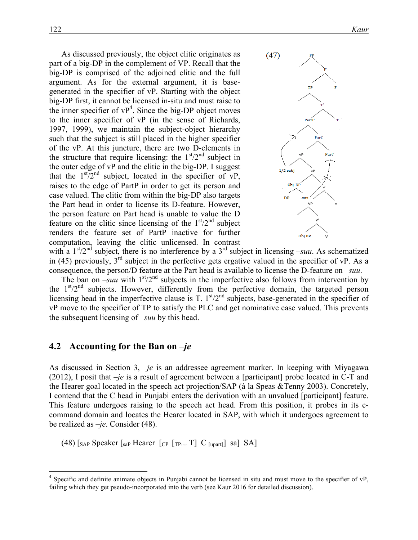As discussed previously, the object clitic originates as part of a big-DP in the complement of VP. Recall that the big-DP is comprised of the adjoined clitic and the full argument. As for the external argument, it is basegenerated in the specifier of vP. Starting with the object big-DP first, it cannot be licensed in-situ and must raise to the inner specifier of  $VP<sup>4</sup>$ . Since the big-DP object moves to the inner specifier of vP (in the sense of Richards, 1997, 1999), we maintain the subject-object hierarchy such that the subject is still placed in the higher specifier of the vP. At this juncture, there are two D-elements in the structure that require licensing: the  $1<sup>st</sup>/2<sup>nd</sup>$  subject in the outer edge of vP and the clitic in the big-DP. I suggest that the  $1<sup>st</sup>/2<sup>nd</sup>$  subject, located in the specifier of vP, raises to the edge of PartP in order to get its person and case valued. The clitic from within the big-DP also targets the Part head in order to license its D-feature. However, the person feature on Part head is unable to value the D feature on the clitic since licensing of the  $1<sup>st</sup>/2<sup>nd</sup>$  subject renders the feature set of PartP inactive for further computation, leaving the clitic unlicensed. In contrast



with a  $1<sup>st</sup>/2<sup>nd</sup>$  subject, there is no interference by a  $3<sup>rd</sup>$  subject in licensing *–suu*. As schematized in (45) previously,  $3<sup>rd</sup>$  subject in the perfective gets ergative valued in the specifier of vP. As a consequence, the person/D feature at the Part head is available to license the D-feature on *–suu*.

The ban on  $-suu$  with  $1<sup>st</sup>/2<sup>nd</sup>$  subjects in the imperfective also follows from intervention by the  $1<sup>st</sup>/2<sup>nd</sup>$  subjects. However, differently from the perfective domain, the targeted person licensing head in the imperfective clause is T.  $1<sup>st</sup>/2<sup>nd</sup>$  subjects, base-generated in the specifier of vP move to the specifier of TP to satisfy the PLC and get nominative case valued. This prevents the subsequent licensing of *–suu* by this head.

#### **4.2** Accounting for the Ban on *–je*

As discussed in Section 3, *–je* is an addressee agreement marker. In keeping with Miyagawa (2012), I posit that *–je* is a result of agreement between a [participant] probe located in C-T and the Hearer goal located in the speech act projection/SAP (à la Speas &Tenny 2003). Concretely, I contend that the C head in Punjabi enters the derivation with an unvalued [participant] feature. This feature undergoes raising to the speech act head. From this position, it probes in its ccommand domain and locates the Hearer located in SAP, with which it undergoes agreement to be realized as *–je*. Consider (48).

(48)  $S_{AP}$  Speaker  $S_{BAP}$  Hearer  $[CP [TP... T]$  C  $S_{L[UP]}$  sa] SA]

 <sup>4</sup> Specific and definite animate objects in Punjabi cannot be licensed in situ and must move to the specifier of vP, failing which they get pseudo-incorporated into the verb (see Kaur 2016 for detailed discussion).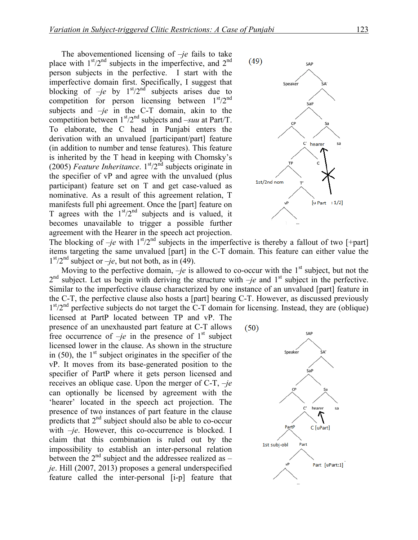The abovementioned licensing of *–je* fails to take place with  $1<sup>st</sup>/2<sup>nd</sup>$  subjects in the imperfective, and  $2<sup>nd</sup>$ person subjects in the perfective. I start with the imperfective domain first. Specifically, I suggest that blocking of  $-je$  by  $1<sup>st</sup>/2<sup>nd</sup>$  subjects arises due to competition for person licensing between  $1<sup>st</sup>/2<sup>nd</sup>$ subjects and *–je* in the C-T domain, akin to the competition between  $1<sup>st</sup>/2<sup>nd</sup>$  subjects and *–suu* at Part/T. To elaborate, the C head in Punjabi enters the derivation with an unvalued [participant/part] feature (in addition to number and tense features). This feature is inherited by the T head in keeping with Chomsky's (2005) *Feature Inheritance*.  $1<sup>st</sup>/2<sup>nd</sup>$  subjects originate in the specifier of vP and agree with the unvalued (plus participant) feature set on T and get case-valued as nominative. As a result of this agreement relation, T manifests full phi agreement. Once the [part] feature on T agrees with the  $1<sup>st</sup>/2<sup>nd</sup>$  subjects and is valued, it becomes unavailable to trigger a possible further agreement with the Hearer in the speech act projection.



The blocking of  $-je$  with  $1<sup>st</sup>/2<sup>nd</sup>$  subjects in the imperfective is thereby a fallout of two [+part] items targeting the same unvalued [part] in the C-T domain. This feature can either value the  $1<sup>st</sup>/2<sup>nd</sup>$  subject or *–je*, but not both, as in (49).

Moving to the perfective domain,  $-je$  is allowed to co-occur with the 1<sup>st</sup> subject, but not the  $2<sup>nd</sup>$  subject. Let us begin with deriving the structure with  $-je$  and 1<sup>st</sup> subject in the perfective. Similar to the imperfective clause characterized by one instance of an unvalued [part] feature in the C-T, the perfective clause also hosts a [part] bearing C-T. However, as discussed previously  $1<sup>st</sup>/2<sup>nd</sup>$  perfective subjects do not target the C-T domain for licensing. Instead, they are (oblique)

licensed at PartP located between TP and vP. The presence of an unexhausted part feature at C-T allows free occurrence of  $-je$  in the presence of  $1<sup>st</sup>$  subject licensed lower in the clause. As shown in the structure in  $(50)$ , the 1<sup>st</sup> subject originates in the specifier of the vP. It moves from its base-generated position to the specifier of PartP where it gets person licensed and receives an oblique case. Upon the merger of C-T, *–je* can optionally be licensed by agreement with the 'hearer' located in the speech act projection. The presence of two instances of part feature in the clause predicts that  $2<sup>nd</sup>$  subject should also be able to co-occur with *-je*. However, this co-occurrence is blocked. I claim that this combination is ruled out by the impossibility to establish an inter-personal relation between the 2nd subject and the addressee realized as *– je*. Hill (2007, 2013) proposes a general underspecified feature called the inter-personal [i-p] feature that

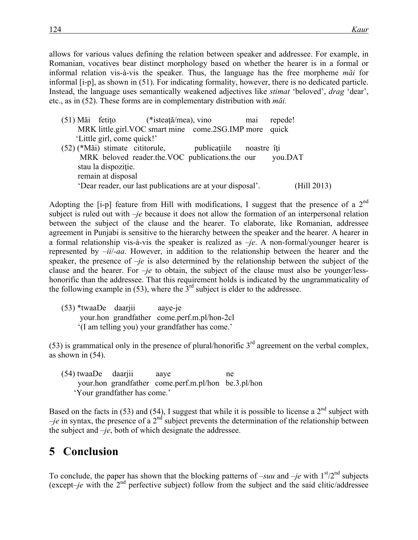allows for various values defining the relation between speaker and addressee. For example, in Romanian, vocatives bear distinct morphology based on whether the hearer is in a formal or informal relation vis-à-vis the speaker. Thus, the language has the free morpheme *măi* for informal [i-p], as shown in (51). For indicating formality, however, there is no dedicated particle. Instead, the language uses semantically weakened adjectives like *stimat* 'beloved', *drag* 'dear', etc., as in (52). These forms are in complementary distribution with *măi.*

(51) Măi fetiţo (\*isteaţă/mea), vino mai repede! MRK little.girl.VOC smart mine come.2SG.IMP more quick 'Little girl, come quick!' (52) (\*Măi) stimate cititorule, publicaţiile noastre îţi MRK beloved reader.the.VOC publications.the our you.DAT stau la dispozitie. remain at disposal 'Dear reader, our last publications are at your disposal'. (Hill 2013)

Adopting the [i-p] feature from Hill with modifications, I suggest that the presence of a 2<sup>nd</sup> subject is ruled out with *–je* because it does not allow the formation of an interpersonal relation between the subject of the clause and the hearer. To elaborate, like Romanian, addressee agreement in Punjabi is sensitive to the hierarchy between the speaker and the hearer. A hearer in a formal relationship vis-à-vis the speaker is realized as  $-je$ . A non-formal/younger hearer is represented by *–ii*/*-aa*. However, in addition to the relationship between the hearer and the speaker, the presence of *–je* is also determined by the relationship between the subject of the clause and the hearer. For *–je* to obtain, the subject of the clause must also be younger/lesshonorific than the addressee. That this requirement holds is indicated by the ungrammaticality of the following example in  $(53)$ , where the  $3<sup>rd</sup>$  subject is elder to the addressee.

(53) \*twaaDe daarjii aaye-je your.hon grandfather come.perf.m.pl/hon-2cl '(I am telling you) your grandfather has come.'

(53) is grammatical only in the presence of plural/honorific  $3<sup>rd</sup>$  agreement on the verbal complex, as shown in (54).

(54) twaaDe daarjii aaye ne your.hon grandfather come.perf.m.pl/hon be.3.pl/hon 'Your grandfather has come.'

Based on the facts in (53) and (54), I suggest that while it is possible to license a  $2<sup>nd</sup>$  subject with  $-je$  in syntax, the presence of a  $2<sup>nd</sup>$  subject prevents the determination of the relationship between the subject and *–je*, both of which designate the addressee.

## **5** Conclusion

To conclude, the paper has shown that the blocking patterns of *–suu* and *–je* with  $1<sup>st</sup>/2<sup>nd</sup>$  subjects (except–je with the  $2<sup>nd</sup>$  perfective subject) follow from the subject and the said clitic/addressee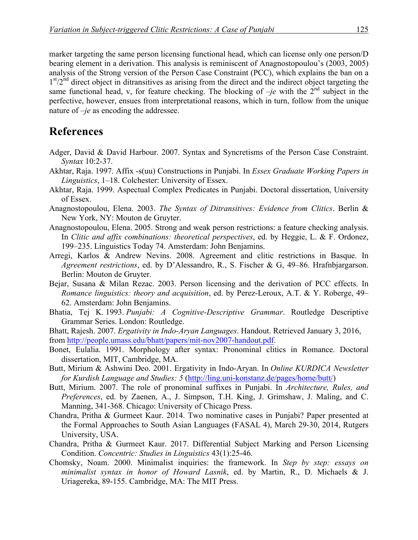marker targeting the same person licensing functional head, which can license only one person/D bearing element in a derivation. This analysis is reminiscent of Anagnostopoulou's (2003, 2005) analysis of the Strong version of the Person Case Constraint (PCC), which explains the ban on a  $1<sup>st</sup>/2<sup>nd</sup>$  direct object in ditransitives as arising from the direct and the indirect object targeting the same functional head, v, for feature checking. The blocking of  $-je$  with the  $2<sup>nd</sup>$  subject in the perfective, however, ensues from interpretational reasons, which in turn, follow from the unique nature of *–je* as encoding the addressee.

## **References**

- Adger, David & David Harbour. 2007. Syntax and Syncretisms of the Person Case Constraint. *Syntax* 10:2-37.
- Akhtar, Raja. 1997. Affix -s(uu) Constructions in Punjabi. In *Essex Graduate Working Papers in Linguistics*, 1–18. Colchester: University of Essex.
- Akhtar, Raja. 1999. Aspectual Complex Predicates in Punjabi. Doctoral dissertation, University of Essex.
- Anagnostopoulou, Elena. 2003. *The Syntax of Ditransitives: Evidence from Clitics*. Berlin & New York, NY: Mouton de Gruyter.
- Anagnostopoulou, Elena. 2005. Strong and weak person restrictions: a feature checking analysis. In *Clitic and affix combinations: theoretical perspectives*, ed. by Heggie, L. & F. Ordonez, 199–235. Linguistics Today 74. Amsterdam: John Benjamins.
- Arregi, Karlos & Andrew Nevins. 2008. Agreement and clitic restrictions in Basque. In *Agreement restrictions*, ed. by D'Alessandro, R., S. Fischer & G, 49–86. Hrafnbjargarson. Berlin: Mouton de Gruyter.
- Bejar, Susana & Milan Rezac. 2003. Person licensing and the derivation of PCC effects. In *Romance linguistics: theory and acquisition*, ed. by Perez-Leroux, A.T. & Y. Roberge, 49– 62. Amsterdam: John Benjamins.
- Bhatia, Tej K. 1993. *Punjabi: A Cognitive-Descriptive Grammar*. Routledge Descriptive Grammar Series. London: Routledge.
- Bhatt, Rajesh. 2007. *Ergativity in Indo-Aryan Languages*. Handout. Retrieved January 3, 2016, from http://people.umass.edu/bhatt/papers/mit-nov2007-handout.pdf.
- Bonet, Eulalia. 1991. Morphology after syntax: Pronominal clitics in Romance. Doctoral dissertation, MIT, Cambridge, MA.
- Butt, Mirium & Ashwini Deo. 2001. Ergativity in Indo-Aryan. In *Online KURDICA Newsletter for Kurdish Language and Studies: 5* (http://ling.uni-konstanz.de/pages/home/butt/)
- Butt, Mirium. 2007. The role of pronominal suffixes in Punjabi. In *Architecture, Rules, and Preferences*, ed. by Zaenen, A., J. Simpson, T.H. King, J. Grimshaw, J. Maling, and C. Manning, 341-368. Chicago: University of Chicago Press.
- Chandra, Pritha & Gurmeet Kaur. 2014. Two nominative cases in Punjabi? Paper presented at the Formal Approaches to South Asian Languages (FASAL 4), March 29-30, 2014, Rutgers University, USA.
- Chandra, Pritha & Gurmeet Kaur. 2017. Differential Subject Marking and Person Licensing Condition. *Concentric: Studies in Linguistics* 43(1):25-46.
- Chomsky, Noam. 2000. Minimalist inquiries: the framework. In *Step by step: essays on minimalist syntax in honor of Howard Lasnik*, ed. by Martin, R., D. Michaels & J. Uriagereka, 89-155. Cambridge, MA: The MIT Press.